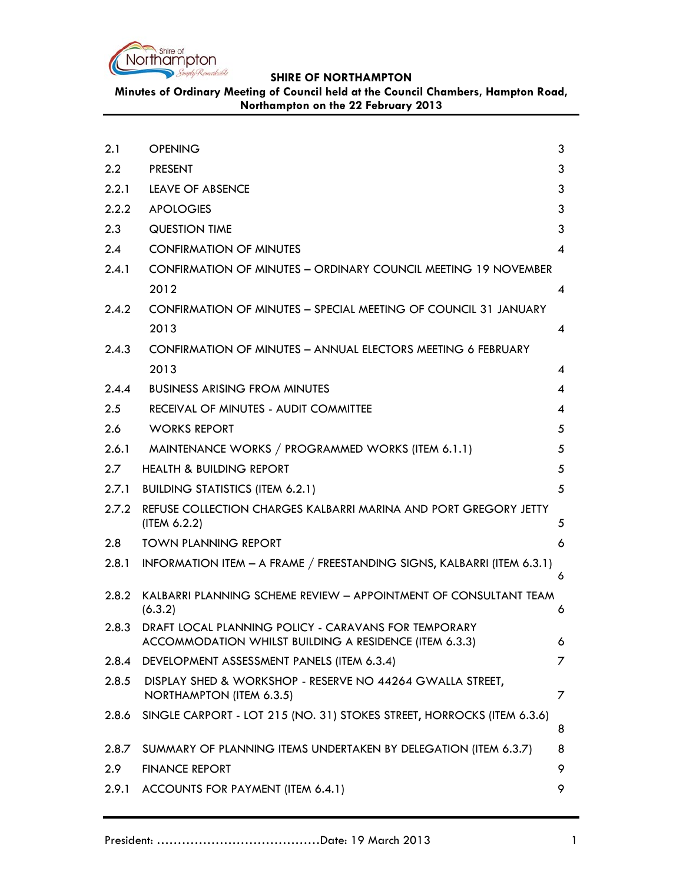

**Minutes of Ordinary Meeting of Council held at the Council Chambers, Hampton Road, Northampton on the 22 February 2013**

| 2.1           | <b>OPENING</b>                                                                                                       | 3 |
|---------------|----------------------------------------------------------------------------------------------------------------------|---|
| $2.2^{\circ}$ | <b>PRESENT</b>                                                                                                       | 3 |
| 2.2.1         | LEAVE OF ABSENCE                                                                                                     | 3 |
| 2.2.2         | <b>APOLOGIES</b>                                                                                                     | 3 |
| 2.3           | <b>QUESTION TIME</b>                                                                                                 | 3 |
| 2.4           | <b>CONFIRMATION OF MINUTES</b>                                                                                       | 4 |
| 2.4.1         | <b>CONFIRMATION OF MINUTES - ORDINARY COUNCIL MEETING 19 NOVEMBER</b>                                                |   |
|               | 2012                                                                                                                 | 4 |
| 2.4.2         | CONFIRMATION OF MINUTES - SPECIAL MEETING OF COUNCIL 31 JANUARY                                                      |   |
|               | 2013                                                                                                                 | 4 |
| 2.4.3         | CONFIRMATION OF MINUTES - ANNUAL ELECTORS MEETING 6 FEBRUARY                                                         |   |
|               | 2013                                                                                                                 | 4 |
| 2.4.4         | <b>BUSINESS ARISING FROM MINUTES</b>                                                                                 | 4 |
| 2.5           | RECEIVAL OF MINUTES - AUDIT COMMITTEE                                                                                | 4 |
| 2.6           | <b>WORKS REPORT</b>                                                                                                  | 5 |
| 2.6.1         | MAINTENANCE WORKS / PROGRAMMED WORKS (ITEM 6.1.1)                                                                    | 5 |
| $2.7^{\circ}$ | <b>HEALTH &amp; BUILDING REPORT</b>                                                                                  | 5 |
| 2.7.1         | <b>BUILDING STATISTICS (ITEM 6.2.1)</b>                                                                              | 5 |
| 2.7.2         | REFUSE COLLECTION CHARGES KALBARRI MARINA AND PORT GREGORY JETTY<br>(ITER 6.2.2)                                     | 5 |
| 2.8           | <b>TOWN PLANNING REPORT</b>                                                                                          | 6 |
| 2.8.1         | INFORMATION ITEM - A FRAME / FREESTANDING SIGNS, KALBARRI (ITEM 6.3.1)                                               | 6 |
| 2.8.2         | KALBARRI PLANNING SCHEME REVIEW - APPOINTMENT OF CONSULTANT TEAM<br>(6.3.2)                                          | 6 |
|               | 2.8.3 DRAFT LOCAL PLANNING POLICY - CARAVANS FOR TEMPORARY<br>ACCOMMODATION WHILST BUILDING A RESIDENCE (ITEM 6.3.3) | 6 |
| 2.8.4         | DEVELOPMENT ASSESSMENT PANELS (ITEM 6.3.4)                                                                           | 7 |
| 2.8.5         | DISPLAY SHED & WORKSHOP - RESERVE NO 44264 GWALLA STREET,<br>NORTHAMPTON (ITEM 6.3.5)                                | 7 |
| 2.8.6         | SINGLE CARPORT - LOT 215 (NO. 31) STOKES STREET, HORROCKS (ITEM 6.3.6)                                               | 8 |
| 2.8.7         | SUMMARY OF PLANNING ITEMS UNDERTAKEN BY DELEGATION (ITEM 6.3.7)                                                      | 8 |
| 2.9           | <b>FINANCE REPORT</b>                                                                                                | 9 |
| 2.9.1         | ACCOUNTS FOR PAYMENT (ITEM 6.4.1)                                                                                    | 9 |
|               |                                                                                                                      |   |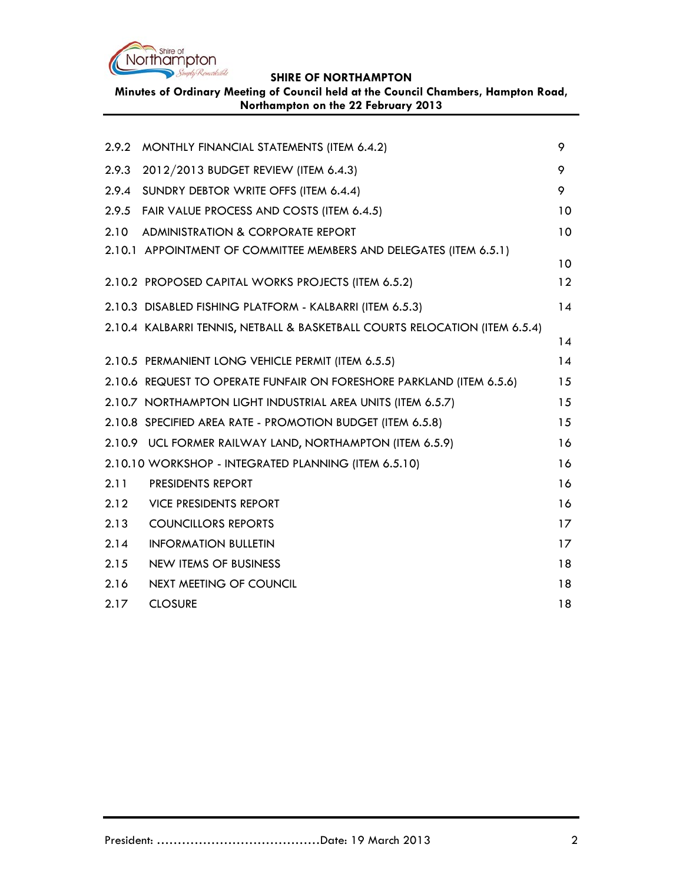

**SHIRE OF NORTHAMPTON Minutes of Ordinary Meeting of Council held at the Council Chambers, Hampton Road,** 

| 2.9.2                                                      | MONTHLY FINANCIAL STATEMENTS (ITEM 6.4.2)                                   | 9               |
|------------------------------------------------------------|-----------------------------------------------------------------------------|-----------------|
| 2.9.3                                                      | 2012/2013 BUDGET REVIEW (ITEM 6.4.3)                                        | 9               |
| 2.9.4                                                      | SUNDRY DEBTOR WRITE OFFS (ITEM 6.4.4)                                       | 9               |
| 2.9.5                                                      | FAIR VALUE PROCESS AND COSTS (ITEM 6.4.5)                                   | 10              |
| 2.10                                                       | ADMINISTRATION & CORPORATE REPORT                                           | 10              |
|                                                            | 2.10.1 APPOINTMENT OF COMMITTEE MEMBERS AND DELEGATES (ITEM 6.5.1)          | 10              |
|                                                            | 2.10.2 PROPOSED CAPITAL WORKS PROJECTS (ITEM 6.5.2)                         | $12 \ \mathrm{$ |
|                                                            | 2.10.3 DISABLED FISHING PLATFORM - KALBARRI (ITEM 6.5.3)                    | 14              |
|                                                            | 2.10.4 KALBARRI TENNIS, NETBALL & BASKETBALL COURTS RELOCATION (ITEM 6.5.4) | 14              |
|                                                            | 2.10.5 PERMANIENT LONG VEHICLE PERMIT (ITEM 6.5.5)                          | 14              |
|                                                            | 2.10.6 REQUEST TO OPERATE FUNFAIR ON FORESHORE PARKLAND (ITEM 6.5.6)        | 15              |
|                                                            | 2.10.7 NORTHAMPTON LIGHT INDUSTRIAL AREA UNITS (ITEM 6.5.7)                 | 15              |
|                                                            | 2.10.8 SPECIFIED AREA RATE - PROMOTION BUDGET (ITEM 6.5.8)                  | 15              |
|                                                            | 2.10.9 UCL FORMER RAILWAY LAND, NORTHAMPTON (ITEM 6.5.9)                    | 16              |
| 2.10.10 WORKSHOP - INTEGRATED PLANNING (ITEM 6.5.10)<br>16 |                                                                             |                 |
| 2.11                                                       | PRESIDENTS REPORT                                                           | 16              |
| 2.12                                                       | <b>VICE PRESIDENTS REPORT</b>                                               | 16              |
| 2.13                                                       | <b>COUNCILLORS REPORTS</b>                                                  | 17              |
| 2.14                                                       | <b>INFORMATION BULLETIN</b>                                                 | 17              |
| 2.15                                                       | <b>NEW ITEMS OF BUSINESS</b>                                                | 18              |
| 2.16                                                       | NEXT MEETING OF COUNCIL                                                     | 18              |
| 2.17                                                       | <b>CLOSURE</b>                                                              | 18              |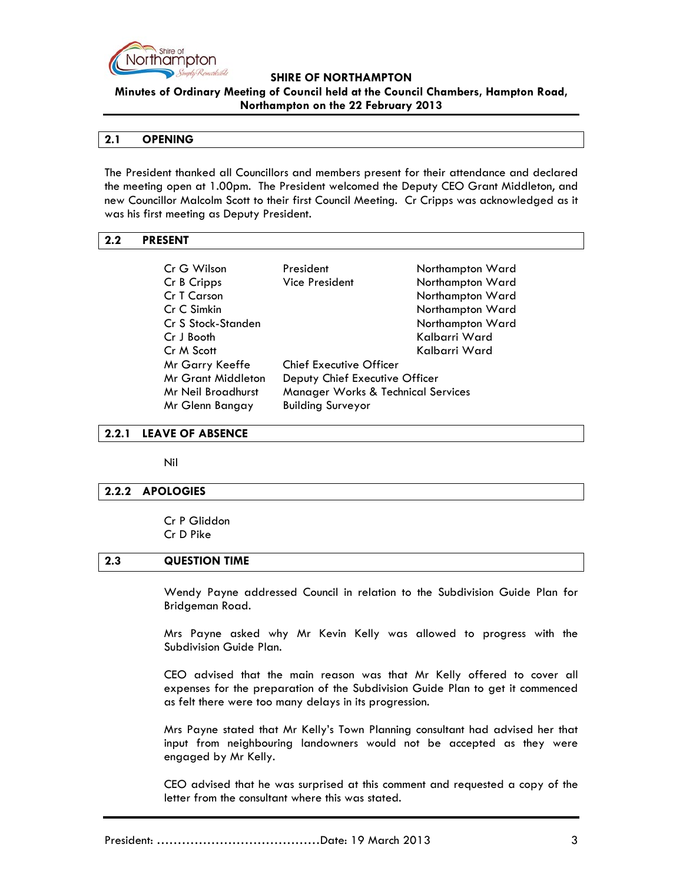

**Minutes of Ordinary Meeting of Council held at the Council Chambers, Hampton Road, Northampton on the 22 February 2013**

#### **2.1 OPENING**

The President thanked all Councillors and members present for their attendance and declared the meeting open at 1.00pm. The President welcomed the Deputy CEO Grant Middleton, and new Councillor Malcolm Scott to their first Council Meeting. Cr Cripps was acknowledged as it was his first meeting as Deputy President.

# **2.2 PRESENT**

| President                          | Northampton Ward |
|------------------------------------|------------------|
| <b>Vice President</b>              | Northampton Ward |
|                                    | Northampton Ward |
|                                    | Northampton Ward |
|                                    | Northampton Ward |
|                                    | Kalbarri Ward    |
|                                    | Kalbarri Ward    |
| Chief Executive Officer            |                  |
| Deputy Chief Executive Officer     |                  |
| Manager Works & Technical Services |                  |
| <b>Building Surveyor</b>           |                  |
|                                    |                  |

## **2.2.1 LEAVE OF ABSENCE**

Nil

## **2.2.2 APOLOGIES**

Cr P Gliddon Cr D Pike

## **2.3 QUESTION TIME**

Wendy Payne addressed Council in relation to the Subdivision Guide Plan for Bridgeman Road.

Mrs Payne asked why Mr Kevin Kelly was allowed to progress with the Subdivision Guide Plan.

CEO advised that the main reason was that Mr Kelly offered to cover all expenses for the preparation of the Subdivision Guide Plan to get it commenced as felt there were too many delays in its progression.

Mrs Payne stated that Mr Kelly's Town Planning consultant had advised her that input from neighbouring landowners would not be accepted as they were engaged by Mr Kelly.

CEO advised that he was surprised at this comment and requested a copy of the letter from the consultant where this was stated.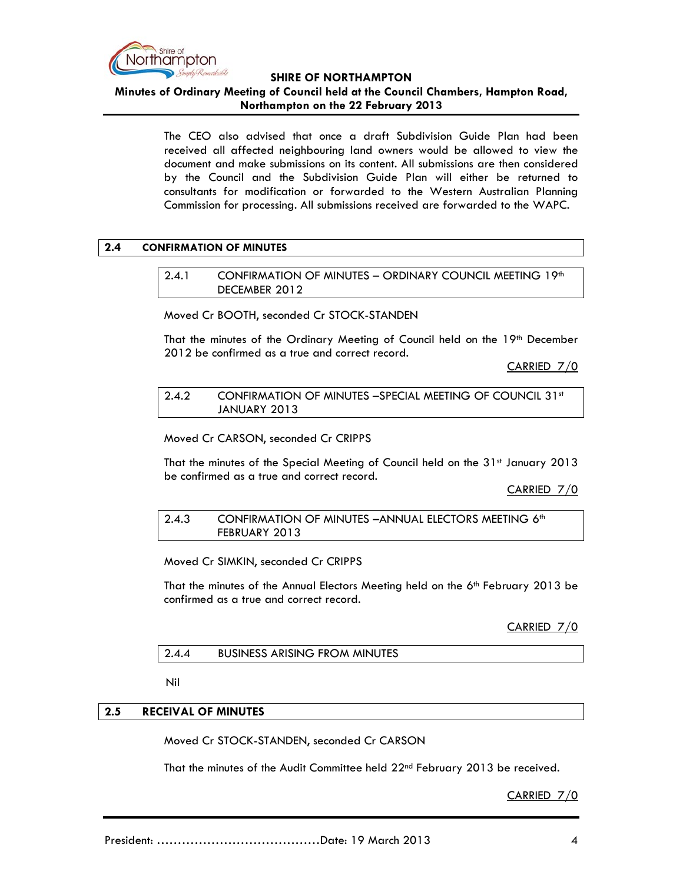

**Minutes of Ordinary Meeting of Council held at the Council Chambers, Hampton Road, Northampton on the 22 February 2013**

> The CEO also advised that once a draft Subdivision Guide Plan had been received all affected neighbouring land owners would be allowed to view the document and make submissions on its content. All submissions are then considered by the Council and the Subdivision Guide Plan will either be returned to consultants for modification or forwarded to the Western Australian Planning Commission for processing. All submissions received are forwarded to the WAPC.

## **2.4 CONFIRMATION OF MINUTES**

2.4.1 CONFIRMATION OF MINUTES - ORDINARY COUNCIL MEETING 19th DECEMBER 2012

Moved Cr BOOTH, seconded Cr STOCK-STANDEN

That the minutes of the Ordinary Meeting of Council held on the 19<sup>th</sup> December 2012 be confirmed as a true and correct record.

CARRIED 7/0

2.4.2 CONFIRMATION OF MINUTES –SPECIAL MEETING OF COUNCIL 31st JANUARY 2013

Moved Cr CARSON, seconded Cr CRIPPS

That the minutes of the Special Meeting of Council held on the 31<sup>st</sup> January 2013 be confirmed as a true and correct record.

CARRIED 7/0

2.4.3 CONFIRMATION OF MINUTES –ANNUAL ELECTORS MEETING 6th FEBRUARY 2013

Moved Cr SIMKIN, seconded Cr CRIPPS

That the minutes of the Annual Electors Meeting held on the 6<sup>th</sup> February 2013 be confirmed as a true and correct record.

CARRIED 7/0

## 2.4.4 BUSINESS ARISING FROM MINUTES

Nil

# **2.5 RECEIVAL OF MINUTES**

Moved Cr STOCK-STANDEN, seconded Cr CARSON

That the minutes of the Audit Committee held 22<sup>nd</sup> February 2013 be received.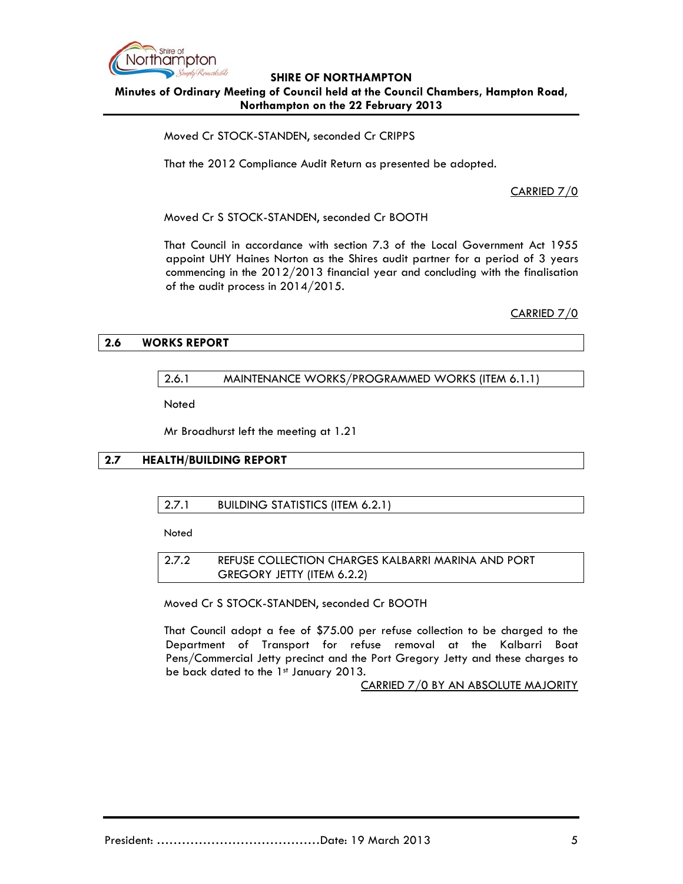

# **SHIRE OF NORTHAMPTON Minutes of Ordinary Meeting of Council held at the Council Chambers, Hampton Road, Northampton on the 22 February 2013**

Moved Cr STOCK-STANDEN, seconded Cr CRIPPS

That the 2012 Compliance Audit Return as presented be adopted.

CARRIED 7/0

Moved Cr S STOCK-STANDEN, seconded Cr BOOTH

That Council in accordance with section 7.3 of the Local Government Act 1955 appoint UHY Haines Norton as the Shires audit partner for a period of 3 years commencing in the 2012/2013 financial year and concluding with the finalisation of the audit process in 2014/2015.

CARRIED 7/0

## **2.6 WORKS REPORT**

## 2.6.1 MAINTENANCE WORKS/PROGRAMMED WORKS (ITEM 6.1.1)

**Noted** 

Mr Broadhurst left the meeting at 1.21

# **2.7 HEALTH/BUILDING REPORT**

# 2.7.1 BUILDING STATISTICS (ITEM 6.2.1)

**Noted** 

2.7.2 REFUSE COLLECTION CHARGES KALBARRI MARINA AND PORT GREGORY JETTY (ITEM 6.2.2)

Moved Cr S STOCK-STANDEN, seconded Cr BOOTH

That Council adopt a fee of \$75.00 per refuse collection to be charged to the Department of Transport for refuse removal at the Kalbarri Boat Pens/Commercial Jetty precinct and the Port Gregory Jetty and these charges to be back dated to the  $1<sup>st</sup>$  January 2013.

CARRIED 7/0 BY AN ABSOLUTE MAJORITY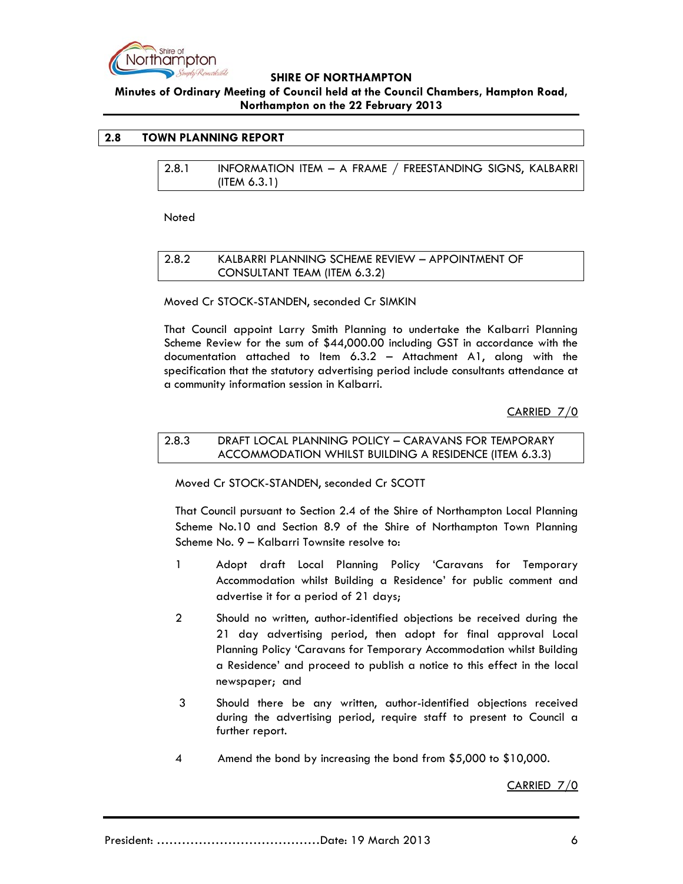

# **Minutes of Ordinary Meeting of Council held at the Council Chambers, Hampton Road, Northampton on the 22 February 2013**

## **2.8 TOWN PLANNING REPORT**

| 2.8.1 | INFORMATION ITEM - A FRAME / FREESTANDING SIGNS, KALBARRI |  |
|-------|-----------------------------------------------------------|--|
|       | (ITER 6.3.1)                                              |  |

**Noted** 

## 2.8.2 KALBARRI PLANNING SCHEME REVIEW – APPOINTMENT OF CONSULTANT TEAM (ITEM 6.3.2)

Moved Cr STOCK-STANDEN, seconded Cr SIMKIN

That Council appoint Larry Smith Planning to undertake the Kalbarri Planning Scheme Review for the sum of \$44,000.00 including GST in accordance with the documentation attached to Item 6.3.2 – Attachment A1, along with the specification that the statutory advertising period include consultants attendance at a community information session in Kalbarri.

CARRIED 7/0

## 2.8.3 DRAFT LOCAL PLANNING POLICY – CARAVANS FOR TEMPORARY ACCOMMODATION WHILST BUILDING A RESIDENCE (ITEM 6.3.3)

Moved Cr STOCK-STANDEN, seconded Cr SCOTT

That Council pursuant to Section 2.4 of the Shire of Northampton Local Planning Scheme No.10 and Section 8.9 of the Shire of Northampton Town Planning Scheme No. 9 – Kalbarri Townsite resolve to:

- 1 Adopt draft Local Planning Policy 'Caravans for Temporary Accommodation whilst Building a Residence' for public comment and advertise it for a period of 21 days;
- 2 Should no written, author-identified objections be received during the 21 day advertising period, then adopt for final approval Local Planning Policy 'Caravans for Temporary Accommodation whilst Building a Residence' and proceed to publish a notice to this effect in the local newspaper; and
- 3 Should there be any written, author-identified objections received during the advertising period, require staff to present to Council a further report.
- 4 Amend the bond by increasing the bond from \$5,000 to \$10,000.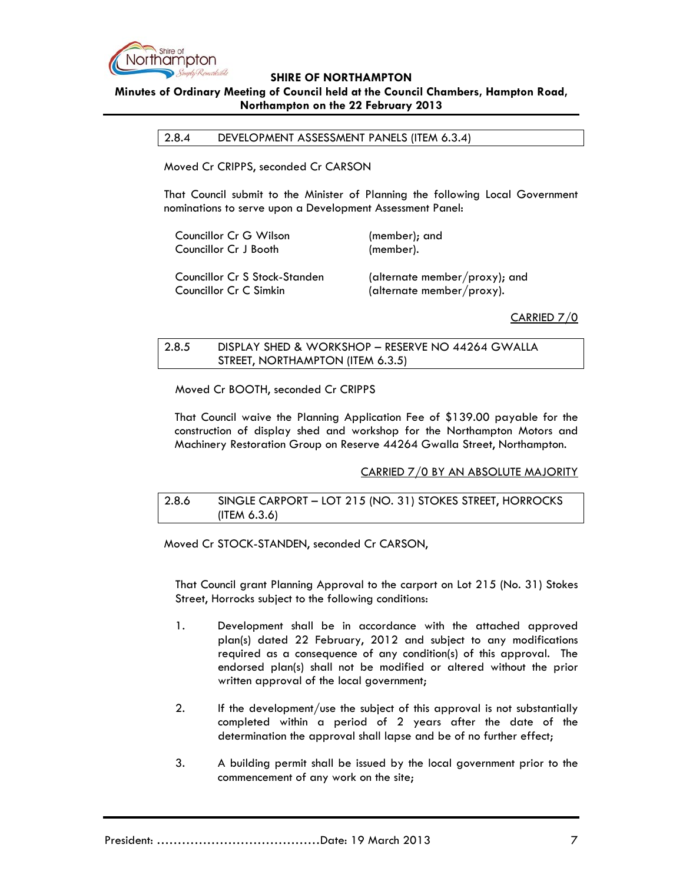

# **Minutes of Ordinary Meeting of Council held at the Council Chambers, Hampton Road, Northampton on the 22 February 2013**

2.8.4 DEVELOPMENT ASSESSMENT PANELS (ITEM 6.3.4)

Moved Cr CRIPPS, seconded Cr CARSON

That Council submit to the Minister of Planning the following Local Government nominations to serve upon a Development Assessment Panel:

| Councillor Cr G Wilson          | (member); and          |
|---------------------------------|------------------------|
| Councillor Cr J Booth           | (member).              |
| Councillor Cr S Stock-Standen   | (alternate member/prox |
| $\cdots$ $\sim$ $\sim$ $\cdots$ |                        |

xy); and Councillor Cr C Simkin (alternate member/proxy).

## CARRIED 7/0

# 2.8.5 DISPLAY SHED & WORKSHOP – RESERVE NO 44264 GWALLA STREET, NORTHAMPTON (ITEM 6.3.5)

Moved Cr BOOTH, seconded Cr CRIPPS

That Council waive the Planning Application Fee of \$139.00 payable for the construction of display shed and workshop for the Northampton Motors and Machinery Restoration Group on Reserve 44264 Gwalla Street, Northampton.

## CARRIED 7/0 BY AN ABSOLUTE MAJORITY

# 2.8.6 SINGLE CARPORT – LOT 215 (NO. 31) STOKES STREET, HORROCKS (ITEM 6.3.6)

Moved Cr STOCK-STANDEN, seconded Cr CARSON,

That Council grant Planning Approval to the carport on Lot 215 (No. 31) Stokes Street, Horrocks subject to the following conditions:

- 1. Development shall be in accordance with the attached approved plan(s) dated 22 February, 2012 and subject to any modifications required as a consequence of any condition(s) of this approval. The endorsed plan(s) shall not be modified or altered without the prior written approval of the local government;
- 2. If the development/use the subject of this approval is not substantially completed within a period of 2 years after the date of the determination the approval shall lapse and be of no further effect;
- 3. A building permit shall be issued by the local government prior to the commencement of any work on the site;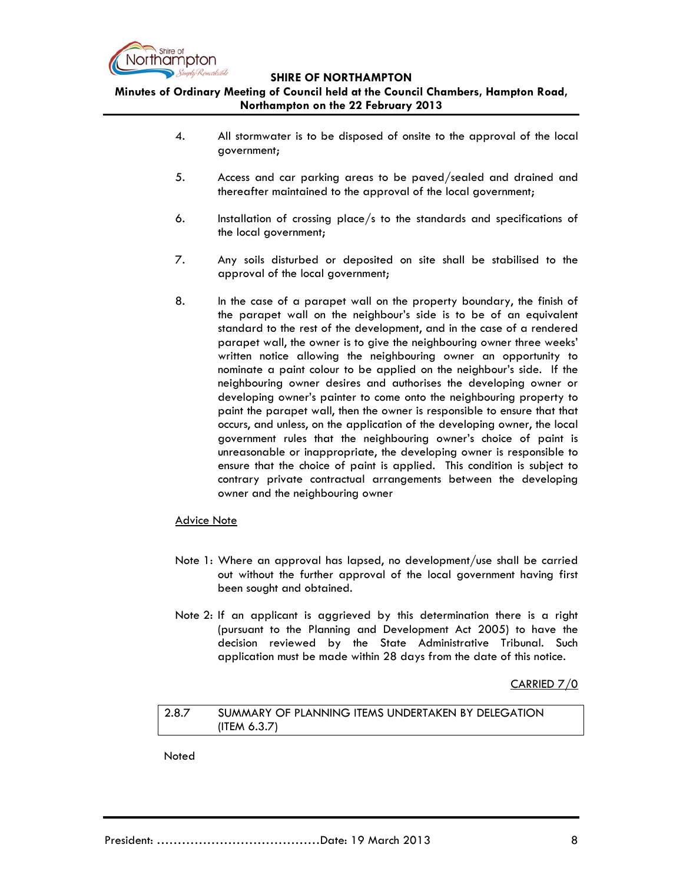

**Minutes of Ordinary Meeting of Council held at the Council Chambers, Hampton Road, Northampton on the 22 February 2013**

- 4. All stormwater is to be disposed of onsite to the approval of the local government;
- 5. Access and car parking areas to be paved/sealed and drained and thereafter maintained to the approval of the local government;
- 6. Installation of crossing place/s to the standards and specifications of the local government;
- 7. Any soils disturbed or deposited on site shall be stabilised to the approval of the local government;
- 8. In the case of a parapet wall on the property boundary, the finish of the parapet wall on the neighbour's side is to be of an equivalent standard to the rest of the development, and in the case of a rendered parapet wall, the owner is to give the neighbouring owner three weeks' written notice allowing the neighbouring owner an opportunity to nominate a paint colour to be applied on the neighbour's side. If the neighbouring owner desires and authorises the developing owner or developing owner's painter to come onto the neighbouring property to paint the parapet wall, then the owner is responsible to ensure that that occurs, and unless, on the application of the developing owner, the local government rules that the neighbouring owner's choice of paint is unreasonable or inappropriate, the developing owner is responsible to ensure that the choice of paint is applied. This condition is subject to contrary private contractual arrangements between the developing owner and the neighbouring owner

## Advice Note

- Note 1: Where an approval has lapsed, no development/use shall be carried out without the further approval of the local government having first been sought and obtained.
- Note 2: If an applicant is aggrieved by this determination there is a right (pursuant to the Planning and Development Act 2005) to have the decision reviewed by the State Administrative Tribunal. Such application must be made within 28 days from the date of this notice.

CARRIED 7/0

# 2.8.7 SUMMARY OF PLANNING ITEMS UNDERTAKEN BY DELEGATION (ITEM 6.3.7)

Noted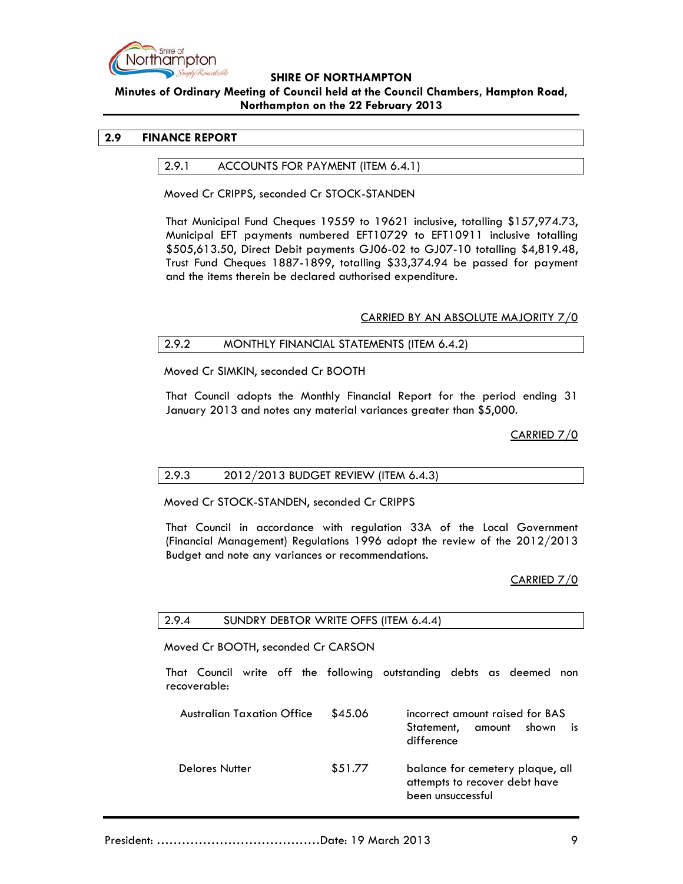

# **Minutes of Ordinary Meeting of Council held at the Council Chambers, Hampton Road, Northampton on the 22 February 2013**

# **2.9 FINANCE REPORT**

## 2.9.1 ACCOUNTS FOR PAYMENT (ITEM 6.4.1)

Moved Cr CRIPPS, seconded Cr STOCK-STANDEN

That Municipal Fund Cheques 19559 to 19621 inclusive, totalling \$157,974.73, Municipal EFT payments numbered EFT10729 to EFT10911 inclusive totalling \$505,613.50, Direct Debit payments GJ06-02 to GJ07-10 totalling \$4,819.48, Trust Fund Cheques 1887-1899, totalling \$33,374.94 be passed for payment and the items therein be declared authorised expenditure.

## CARRIED BY AN ABSOLUTE MAJORITY 7/0

# 2.9.2 MONTHLY FINANCIAL STATEMENTS (ITEM 6.4.2)

Moved Cr SIMKIN, seconded Cr BOOTH

That Council adopts the Monthly Financial Report for the period ending 31 January 2013 and notes any material variances greater than \$5,000.

CARRIED 7/0

## 2.9.3 2012/2013 BUDGET REVIEW (ITEM 6.4.3)

Moved Cr STOCK-STANDEN, seconded Cr CRIPPS

That Council in accordance with regulation 33A of the Local Government (Financial Management) Regulations 1996 adopt the review of the 2012/2013 Budget and note any variances or recommendations.

CARRIED 7/0

## 2.9.4 SUNDRY DEBTOR WRITE OFFS (ITEM 6.4.4)

Moved Cr BOOTH, seconded Cr CARSON

That Council write off the following outstanding debts as deemed non recoverable:

| <b>Australian Taxation Office</b> | \$45.06 | incorrect amount raised for BAS<br>amount<br>shown<br>is<br>Statement,<br>difference   |
|-----------------------------------|---------|----------------------------------------------------------------------------------------|
| <b>Delores Nutter</b>             | \$51.77 | balance for cemetery plaque, all<br>attempts to recover debt have<br>been unsuccessful |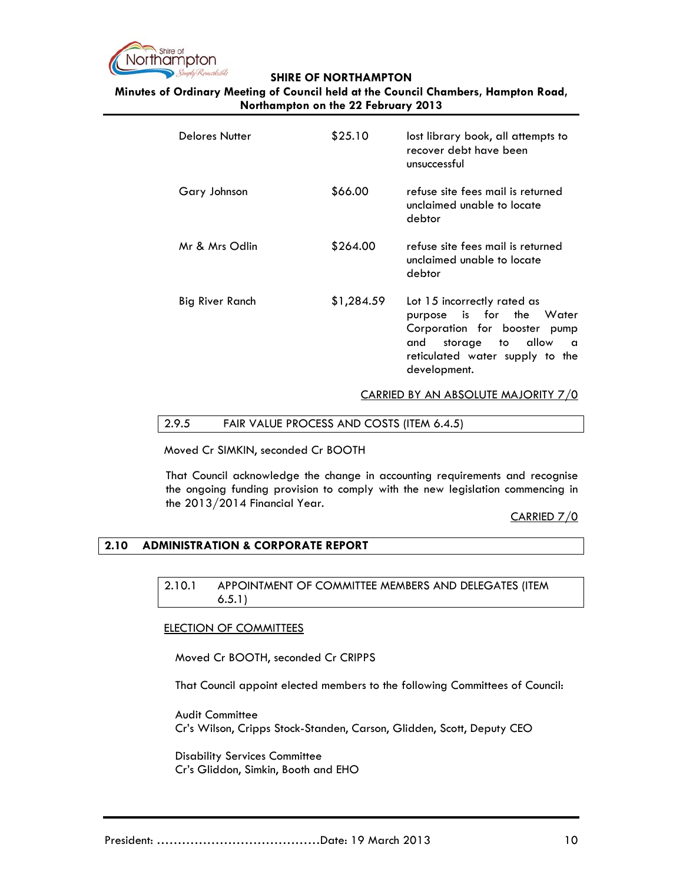

**Minutes of Ordinary Meeting of Council held at the Council Chambers, Hampton Road, Northampton on the 22 February 2013**

| Delores Nutter  | \$25.10    | lost library book, all attempts to<br>recover debt have been<br>unsuccessful                                                                                               |
|-----------------|------------|----------------------------------------------------------------------------------------------------------------------------------------------------------------------------|
| Gary Johnson    | \$66.00    | refuse site fees mail is returned<br>unclaimed unable to locate<br>debtor                                                                                                  |
| Mr & Mrs Odlin  | \$264.00   | refuse site fees mail is returned<br>unclaimed unable to locate<br>debtor                                                                                                  |
| Big River Ranch | \$1,284.59 | Lot 15 incorrectly rated as<br>purpose is for the Water<br>Corporation for booster pump<br>storage to allow<br>and<br>a<br>reticulated water supply to the<br>development. |

CARRIED BY AN ABSOLUTE MAJORITY 7/0

## 2.9.5 FAIR VALUE PROCESS AND COSTS (ITEM 6.4.5)

Moved Cr SIMKIN, seconded Cr BOOTH

That Council acknowledge the change in accounting requirements and recognise the ongoing funding provision to comply with the new legislation commencing in the 2013/2014 Financial Year.

# CARRIED 7/0

# **2.10 ADMINISTRATION & CORPORATE REPORT**

2.10.1 APPOINTMENT OF COMMITTEE MEMBERS AND DELEGATES (ITEM 6.5.1)

## ELECTION OF COMMITTEES

Moved Cr BOOTH, seconded Cr CRIPPS

That Council appoint elected members to the following Committees of Council:

Audit Committee Cr's Wilson, Cripps Stock-Standen, Carson, Glidden, Scott, Deputy CEO

Disability Services Committee Cr's Gliddon, Simkin, Booth and EHO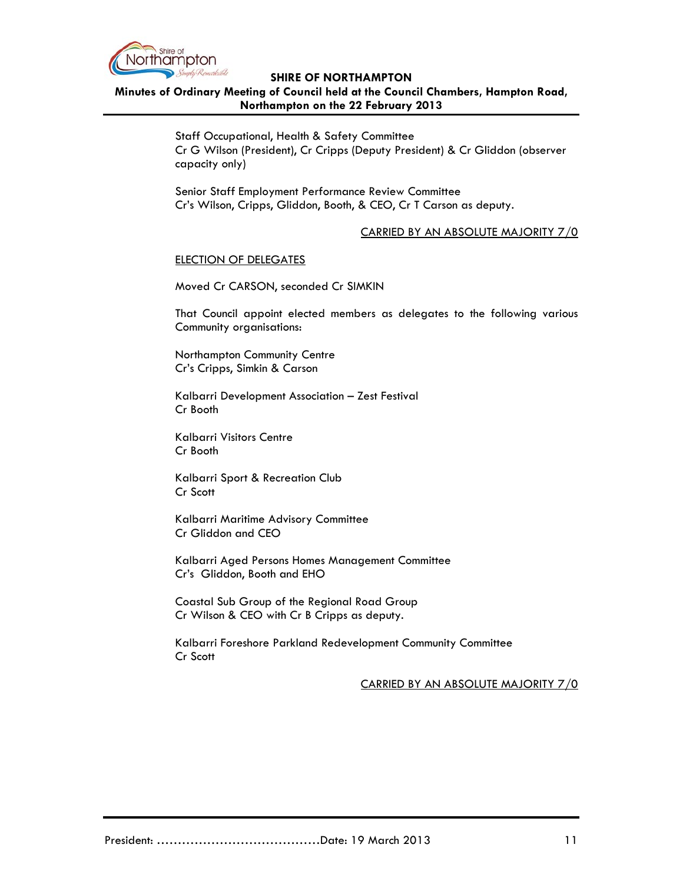

# **Minutes of Ordinary Meeting of Council held at the Council Chambers, Hampton Road, Northampton on the 22 February 2013**

Staff Occupational, Health & Safety Committee Cr G Wilson (President), Cr Cripps (Deputy President) & Cr Gliddon (observer capacity only)

Senior Staff Employment Performance Review Committee Cr's Wilson, Cripps, Gliddon, Booth, & CEO, Cr T Carson as deputy.

# CARRIED BY AN ABSOLUTE MAJORITY 7/0

## ELECTION OF DELEGATES

Moved Cr CARSON, seconded Cr SIMKIN

That Council appoint elected members as delegates to the following various Community organisations:

Northampton Community Centre Cr's Cripps, Simkin & Carson

Kalbarri Development Association – Zest Festival Cr Booth

Kalbarri Visitors Centre Cr Booth

Kalbarri Sport & Recreation Club Cr Scott

Kalbarri Maritime Advisory Committee Cr Gliddon and CEO

Kalbarri Aged Persons Homes Management Committee Cr's Gliddon, Booth and EHO

Coastal Sub Group of the Regional Road Group Cr Wilson & CEO with Cr B Cripps as deputy.

Kalbarri Foreshore Parkland Redevelopment Community Committee Cr Scott

CARRIED BY AN ABSOLUTE MAJORITY 7/0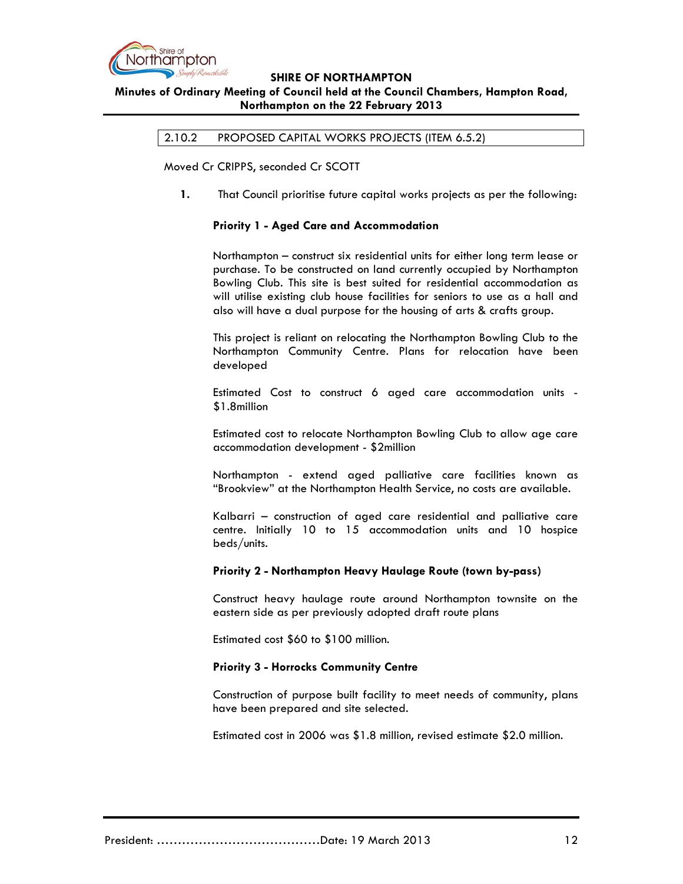

# **Minutes of Ordinary Meeting of Council held at the Council Chambers, Hampton Road, Northampton on the 22 February 2013**

2.10.2 PROPOSED CAPITAL WORKS PROJECTS (ITEM 6.5.2)

Moved Cr CRIPPS, seconded Cr SCOTT

**1.** That Council prioritise future capital works projects as per the following:

## **Priority 1 - Aged Care and Accommodation**

Northampton – construct six residential units for either long term lease or purchase. To be constructed on land currently occupied by Northampton Bowling Club. This site is best suited for residential accommodation as will utilise existing club house facilities for seniors to use as a hall and also will have a dual purpose for the housing of arts & crafts group.

This project is reliant on relocating the Northampton Bowling Club to the Northampton Community Centre. Plans for relocation have been developed

Estimated Cost to construct 6 aged care accommodation units - \$1.8million

Estimated cost to relocate Northampton Bowling Club to allow age care accommodation development - \$2million

Northampton - extend aged palliative care facilities known as "Brookview" at the Northampton Health Service, no costs are available.

Kalbarri – construction of aged care residential and palliative care centre. Initially 10 to 15 accommodation units and 10 hospice beds/units.

## **Priority 2 - Northampton Heavy Haulage Route (town by-pass)**

Construct heavy haulage route around Northampton townsite on the eastern side as per previously adopted draft route plans

Estimated cost \$60 to \$100 million.

## **Priority 3 - Horrocks Community Centre**

Construction of purpose built facility to meet needs of community, plans have been prepared and site selected.

Estimated cost in 2006 was \$1.8 million, revised estimate \$2.0 million.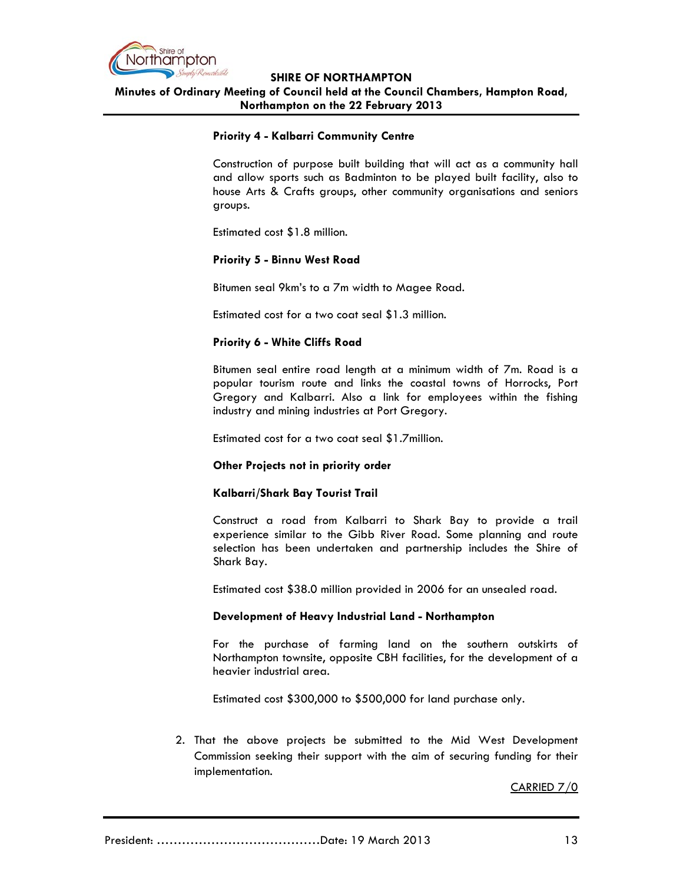

**SHIRE OF NORTHAMPTON Minutes of Ordinary Meeting of Council held at the Council Chambers, Hampton Road, Northampton on the 22 February 2013**

## **Priority 4 - Kalbarri Community Centre**

Construction of purpose built building that will act as a community hall and allow sports such as Badminton to be played built facility, also to house Arts & Crafts groups, other community organisations and seniors groups.

Estimated cost \$1.8 million.

#### **Priority 5 - Binnu West Road**

Bitumen seal 9km's to a 7m width to Magee Road.

Estimated cost for a two coat seal \$1.3 million.

## **Priority 6 - White Cliffs Road**

Bitumen seal entire road length at a minimum width of 7m. Road is a popular tourism route and links the coastal towns of Horrocks, Port Gregory and Kalbarri. Also a link for employees within the fishing industry and mining industries at Port Gregory.

Estimated cost for a two coat seal \$1.7million.

## **Other Projects not in priority order**

## **Kalbarri/Shark Bay Tourist Trail**

Construct a road from Kalbarri to Shark Bay to provide a trail experience similar to the Gibb River Road. Some planning and route selection has been undertaken and partnership includes the Shire of Shark Bay.

Estimated cost \$38.0 million provided in 2006 for an unsealed road.

## **Development of Heavy Industrial Land - Northampton**

For the purchase of farming land on the southern outskirts of Northampton townsite, opposite CBH facilities, for the development of a heavier industrial area.

Estimated cost \$300,000 to \$500,000 for land purchase only.

2. That the above projects be submitted to the Mid West Development Commission seeking their support with the aim of securing funding for their implementation.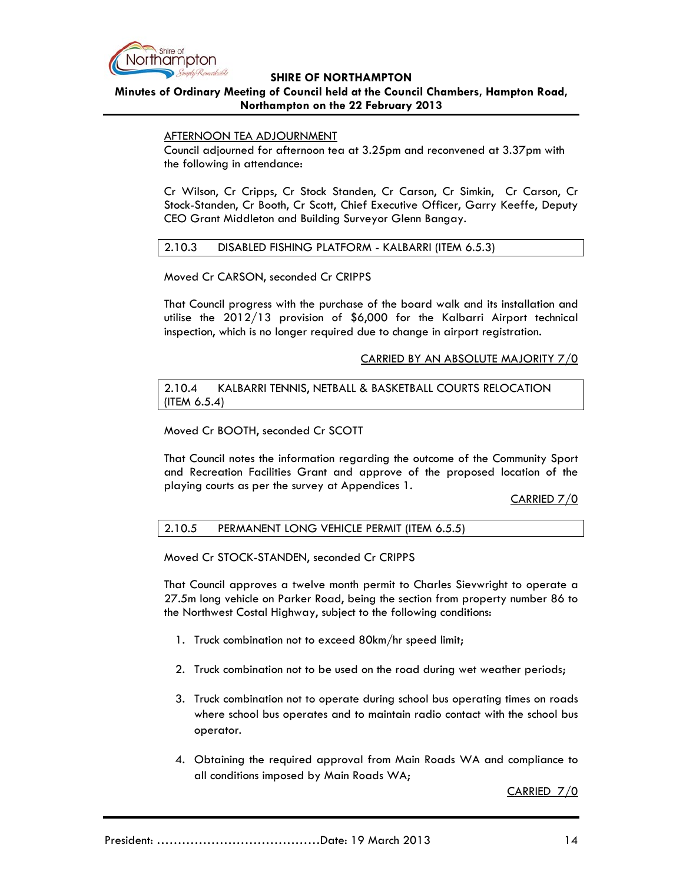

# **Minutes of Ordinary Meeting of Council held at the Council Chambers, Hampton Road, Northampton on the 22 February 2013**

## AFTERNOON TEA ADJOURNMENT

Council adjourned for afternoon tea at 3.25pm and reconvened at 3.37pm with the following in attendance:

Cr Wilson, Cr Cripps, Cr Stock Standen, Cr Carson, Cr Simkin, Cr Carson, Cr Stock-Standen, Cr Booth, Cr Scott, Chief Executive Officer, Garry Keeffe, Deputy CEO Grant Middleton and Building Surveyor Glenn Bangay.

## 2.10.3 DISABLED FISHING PLATFORM - KALBARRI (ITEM 6.5.3)

Moved Cr CARSON, seconded Cr CRIPPS

That Council progress with the purchase of the board walk and its installation and utilise the 2012/13 provision of \$6,000 for the Kalbarri Airport technical inspection, which is no longer required due to change in airport registration.

## CARRIED BY AN ABSOLUTE MAJORITY 7/0

2.10.4 KALBARRI TENNIS, NETBALL & BASKETBALL COURTS RELOCATION (ITEM 6.5.4)

Moved Cr BOOTH, seconded Cr SCOTT

That Council notes the information regarding the outcome of the Community Sport and Recreation Facilities Grant and approve of the proposed location of the playing courts as per the survey at Appendices 1.

## CARRIED 7/0

# 2.10.5 PERMANENT LONG VEHICLE PERMIT (ITEM 6.5.5)

Moved Cr STOCK-STANDEN, seconded Cr CRIPPS

That Council approves a twelve month permit to Charles Sievwright to operate a 27.5m long vehicle on Parker Road, being the section from property number 86 to the Northwest Costal Highway, subject to the following conditions:

- 1. Truck combination not to exceed 80km/hr speed limit;
- 2. Truck combination not to be used on the road during wet weather periods;
- 3. Truck combination not to operate during school bus operating times on roads where school bus operates and to maintain radio contact with the school bus operator.
- 4. Obtaining the required approval from Main Roads WA and compliance to all conditions imposed by Main Roads WA;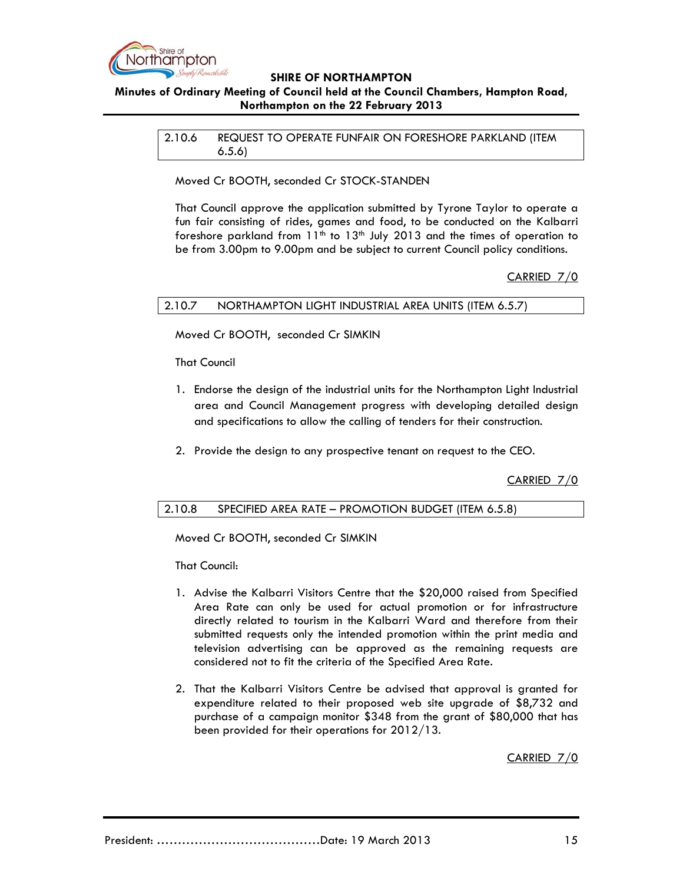

# **Minutes of Ordinary Meeting of Council held at the Council Chambers, Hampton Road, Northampton on the 22 February 2013**

2.10.6 REQUEST TO OPERATE FUNFAIR ON FORESHORE PARKLAND (ITEM 6.5.6)

Moved Cr BOOTH, seconded Cr STOCK-STANDEN

That Council approve the application submitted by Tyrone Taylor to operate a fun fair consisting of rides, games and food, to be conducted on the Kalbarri foreshore parkland from  $11<sup>th</sup>$  to  $13<sup>th</sup>$  July 2013 and the times of operation to be from 3.00pm to 9.00pm and be subject to current Council policy conditions.

# CARRIED 7/0

2.10.7 NORTHAMPTON LIGHT INDUSTRIAL AREA UNITS (ITEM 6.5.7)

Moved Cr BOOTH, seconded Cr SIMKIN

That Council

- 1. Endorse the design of the industrial units for the Northampton Light Industrial area and Council Management progress with developing detailed design and specifications to allow the calling of tenders for their construction.
- 2. Provide the design to any prospective tenant on request to the CEO.

CARRIED 7/0

# 2.10.8 SPECIFIED AREA RATE – PROMOTION BUDGET (ITEM 6.5.8)

Moved Cr BOOTH, seconded Cr SIMKIN

That Council:

- 1. Advise the Kalbarri Visitors Centre that the \$20,000 raised from Specified Area Rate can only be used for actual promotion or for infrastructure directly related to tourism in the Kalbarri Ward and therefore from their submitted requests only the intended promotion within the print media and television advertising can be approved as the remaining requests are considered not to fit the criteria of the Specified Area Rate.
- 2. That the Kalbarri Visitors Centre be advised that approval is granted for expenditure related to their proposed web site upgrade of \$8,732 and purchase of a campaign monitor \$348 from the grant of \$80,000 that has been provided for their operations for 2012/13.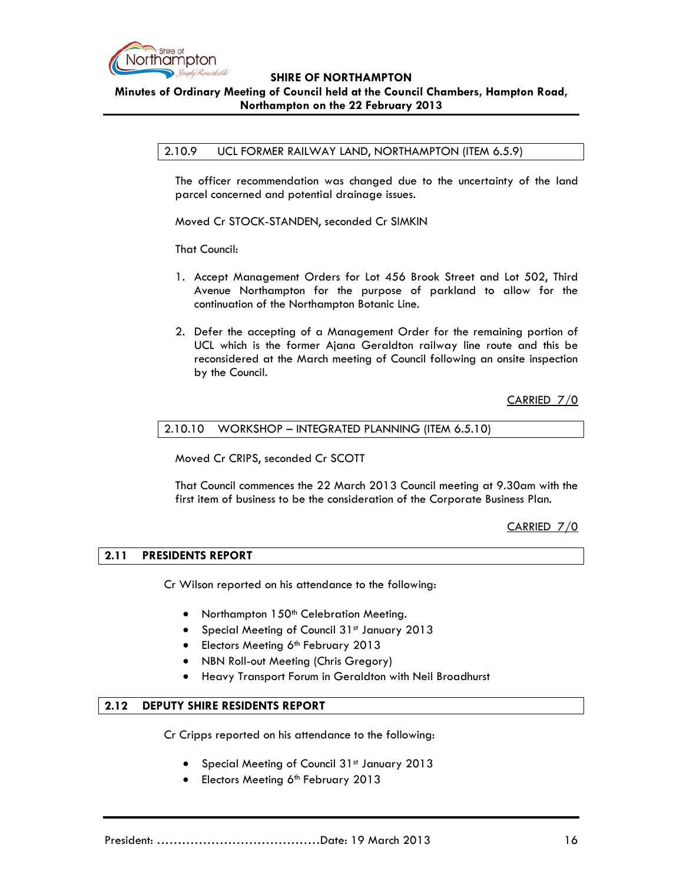

**Minutes of Ordinary Meeting of Council held at the Council Chambers, Hampton Road, Northampton on the 22 February 2013**

#### 2.10.9 UCL FORMER RAILWAY LAND, NORTHAMPTON (ITEM 6.5.9)

The officer recommendation was changed due to the uncertainty of the land parcel concerned and potential drainage issues.

Moved Cr STOCK-STANDEN, seconded Cr SIMKIN

That Council:

- 1. Accept Management Orders for Lot 456 Brook Street and Lot 502, Third Avenue Northampton for the purpose of parkland to allow for the continuation of the Northampton Botanic Line.
- 2. Defer the accepting of a Management Order for the remaining portion of UCL which is the former Ajana Geraldton railway line route and this be reconsidered at the March meeting of Council following an onsite inspection by the Council.

CARRIED 7/0

$$
2.10.10
$$
 WORKSHOP – INTEGRATED PLANNING (ITER 6.5.10)

Moved Cr CRIPS, seconded Cr SCOTT

That Council commences the 22 March 2013 Council meeting at 9.30am with the first item of business to be the consideration of the Corporate Business Plan.

CARRIED 7/0

## **2.11 PRESIDENTS REPORT**

Cr Wilson reported on his attendance to the following:

- Northampton 150<sup>th</sup> Celebration Meeting.
- Special Meeting of Council 31<sup>st</sup> January 2013
- Electors Meeting 6<sup>th</sup> February 2013
- NBN Roll-out Meeting (Chris Gregory)
- Heavy Transport Forum in Geraldton with Neil Broadhurst

# **2.12 DEPUTY SHIRE RESIDENTS REPORT**

Cr Cripps reported on his attendance to the following:

- Special Meeting of Council 31<sup>st</sup> January 2013
- Electors Meeting 6<sup>th</sup> February 2013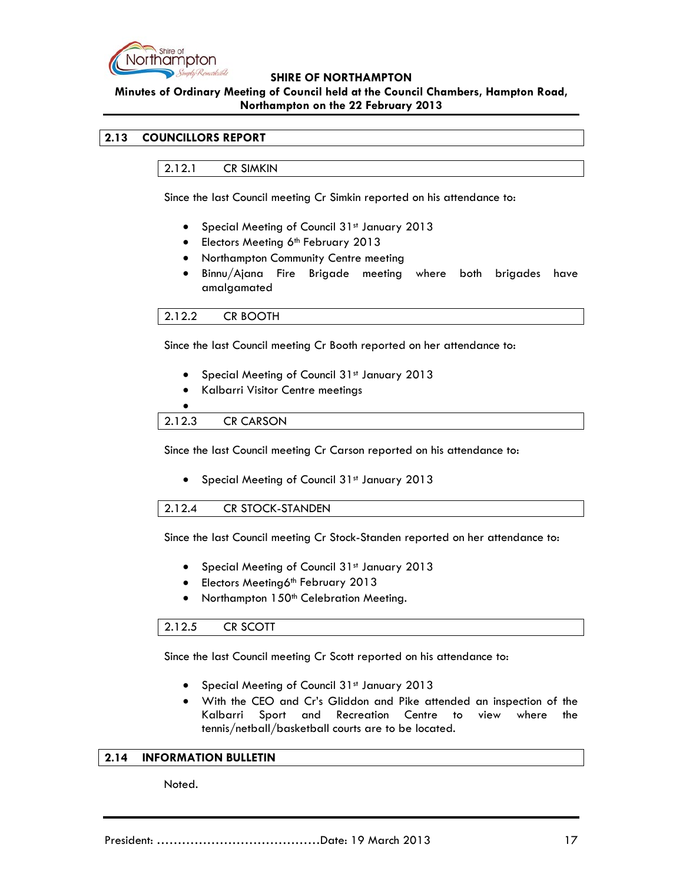

# **Minutes of Ordinary Meeting of Council held at the Council Chambers, Hampton Road, Northampton on the 22 February 2013**

# **2.13 COUNCILLORS REPORT**

2.12.1 CR SIMKIN

Since the last Council meeting Cr Simkin reported on his attendance to:

- Special Meeting of Council 31st January 2013
- Electors Meeting 6<sup>th</sup> February 2013
- Northampton Community Centre meeting
- Binnu/Ajana Fire Brigade meeting where both brigades have amalgamated

# 2.12.2 CR BOOTH

Since the last Council meeting Cr Booth reported on her attendance to:

- Special Meeting of Council 31st January 2013
- Kalbarri Visitor Centre meetings

# $\bullet$ 2.12.3 CR CARSON

Since the last Council meeting Cr Carson reported on his attendance to:

• Special Meeting of Council 31<sup>st</sup> January 2013

## 2.12.4 CR STOCK-STANDEN

Since the last Council meeting Cr Stock-Standen reported on her attendance to:

- Special Meeting of Council 31st January 2013
- Electors Meeting6<sup>th</sup> February 2013
- Northampton 150<sup>th</sup> Celebration Meeting.

## 2.12.5 CR SCOTT

Since the last Council meeting Cr Scott reported on his attendance to:

- Special Meeting of Council 31st January 2013
- With the CEO and Cr's Gliddon and Pike attended an inspection of the Kalbarri Sport and Recreation Centre to view where the tennis/netball/basketball courts are to be located.

## **2.14 INFORMATION BULLETIN**

Noted.